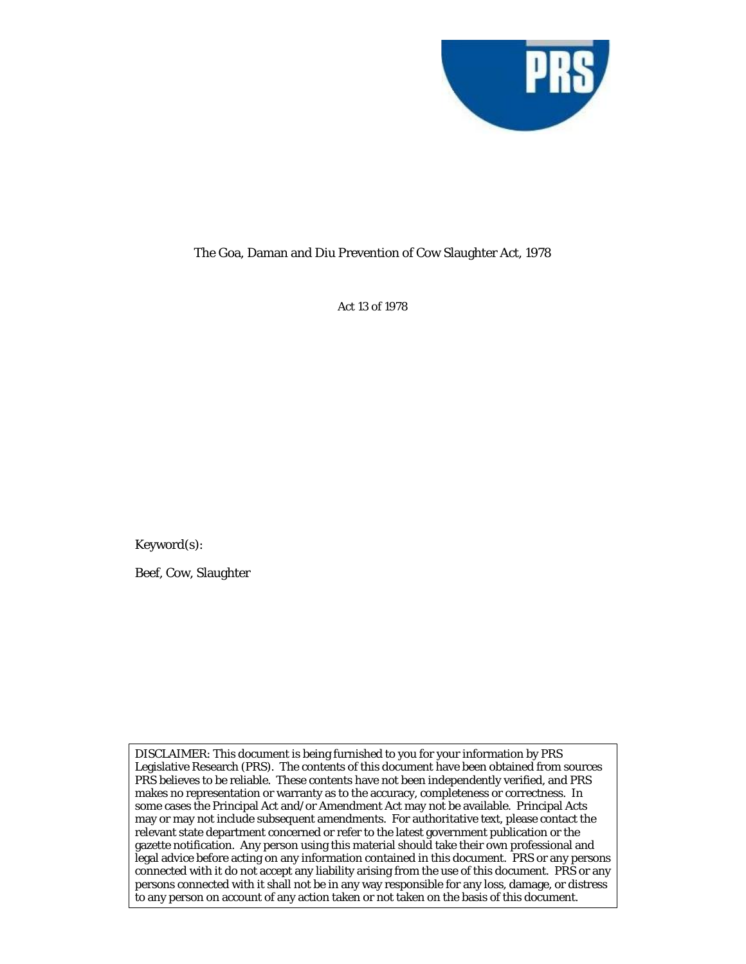

## The Goa, Daman and Diu Prevention of Cow Slaughter Act, 1978

Act 13 of 1978

Keyword(s):

Beef, Cow, Slaughter

DISCLAIMER: This document is being furnished to you for your information by PRS Legislative Research (PRS). The contents of this document have been obtained from sources PRS believes to be reliable. These contents have not been independently verified, and PRS makes no representation or warranty as to the accuracy, completeness or correctness. In some cases the Principal Act and/or Amendment Act may not be available. Principal Acts may or may not include subsequent amendments. For authoritative text, please contact the relevant state department concerned or refer to the latest government publication or the gazette notification. Any person using this material should take their own professional and legal advice before acting on any information contained in this document. PRS or any persons connected with it do not accept any liability arising from the use of this document. PRS or any persons connected with it shall not be in any way responsible for any loss, damage, or distress to any person on account of any action taken or not taken on the basis of this document.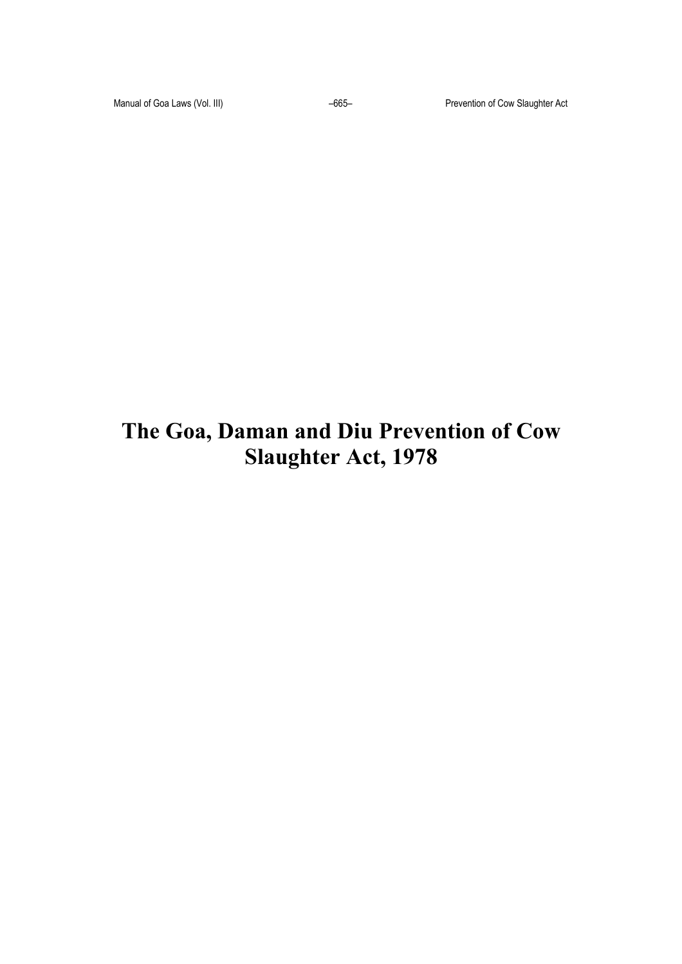# **The Goa, Daman and Diu Prevention of Cow Slaughter Act, 1978**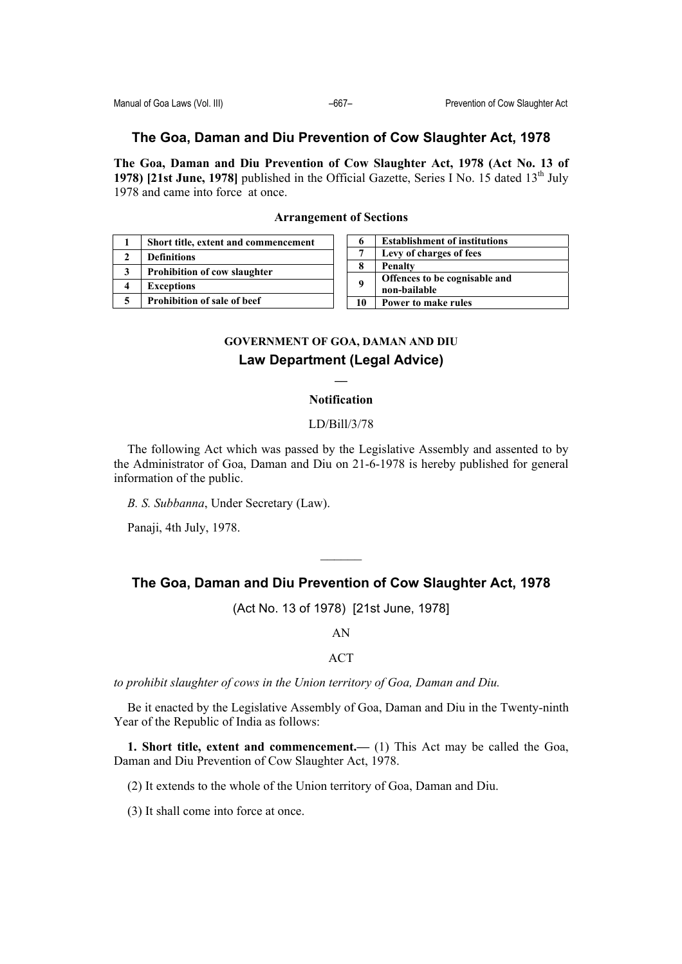# **The Goa, Daman and Diu Prevention of Cow Slaughter Act, 1978**

**The Goa, Daman and Diu Prevention of Cow Slaughter Act, 1978 (Act No. 13 of 1978) [21st June, 1978]** published in the Official Gazette, Series I No. 15 dated  $13<sup>th</sup>$  July 1978 and came into force at once.

| 1 | Short title, extent and commencement |
|---|--------------------------------------|
| 2 | <b>Definitions</b>                   |
| 3 | <b>Prohibition of cow slaughter</b>  |
| 4 | <b>Exceptions</b>                    |
| 5 | Prohibition of sale of beef          |

| 6  | <b>Establishment of institutions</b>          |
|----|-----------------------------------------------|
|    | Levy of charges of fees                       |
|    | <b>Penalty</b>                                |
| 9  | Offences to be cognisable and<br>non-bailable |
| 10 | Power to make rules                           |

## **Arrangement of Sections**

# **GOVERNMENT OF GOA, DAMAN AND DIU Law Department (Legal Advice)**

**\_\_** 

### **Notification**

#### LD/Bill/3/78

The following Act which was passed by the Legislative Assembly and assented to by the Administrator of Goa, Daman and Diu on 21-6-1978 is hereby published for general information of the public.

*B. S. Subbanna*, Under Secretary (Law).

Panaji, 4th July, 1978.

## **The Goa, Daman and Diu Prevention of Cow Slaughter Act, 1978**

 $\mathcal{L}_\text{max}$ 

(Act No. 13 of 1978) [21st June, 1978]

AN

ACT

*to prohibit slaughter of cows in the Union territory of Goa, Daman and Diu.* 

Be it enacted by the Legislative Assembly of Goa, Daman and Diu in the Twenty-ninth Year of the Republic of India as follows:

**1. Short title, extent and commencement.—** (1) This Act may be called the Goa, Daman and Diu Prevention of Cow Slaughter Act, 1978.

(2) It extends to the whole of the Union territory of Goa, Daman and Diu.

(3) It shall come into force at once.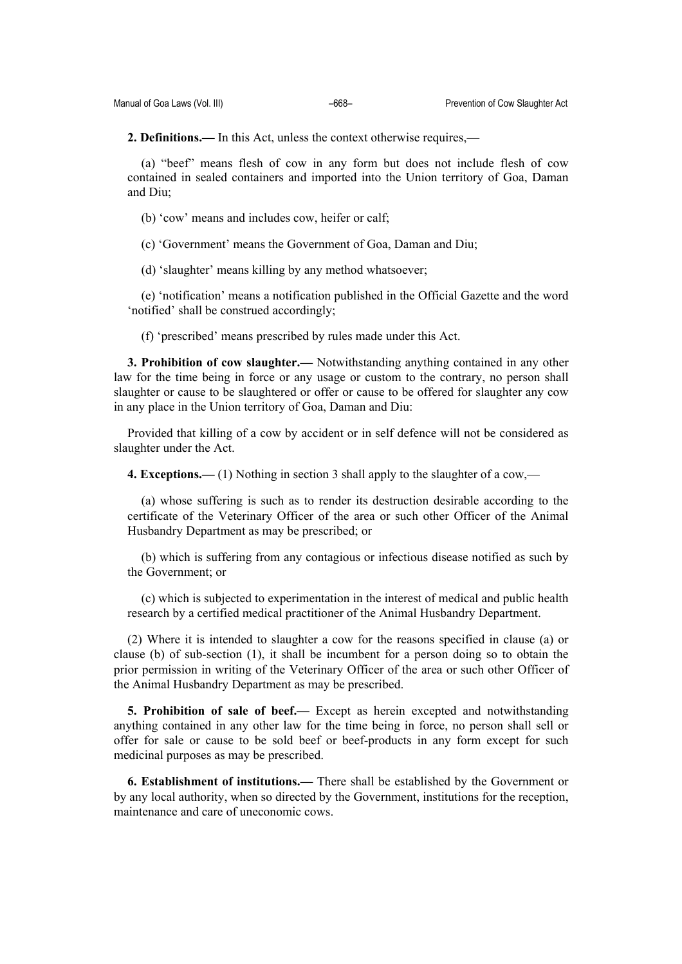**2. Definitions.—** In this Act, unless the context otherwise requires,—

(a) "beef" means flesh of cow in any form but does not include flesh of cow contained in sealed containers and imported into the Union territory of Goa, Daman and Diu;

(b) 'cow' means and includes cow, heifer or calf;

(c) 'Government' means the Government of Goa, Daman and Diu;

(d) 'slaughter' means killing by any method whatsoever;

(e) 'notification' means a notification published in the Official Gazette and the word 'notified' shall be construed accordingly;

(f) 'prescribed' means prescribed by rules made under this Act.

**3. Prohibition of cow slaughter.—** Notwithstanding anything contained in any other law for the time being in force or any usage or custom to the contrary, no person shall slaughter or cause to be slaughtered or offer or cause to be offered for slaughter any cow in any place in the Union territory of Goa, Daman and Diu:

Provided that killing of a cow by accident or in self defence will not be considered as slaughter under the Act.

**4. Exceptions.—** (1) Nothing in section 3 shall apply to the slaughter of a cow,—

(a) whose suffering is such as to render its destruction desirable according to the certificate of the Veterinary Officer of the area or such other Officer of the Animal Husbandry Department as may be prescribed; or

(b) which is suffering from any contagious or infectious disease notified as such by the Government; or

(c) which is subjected to experimentation in the interest of medical and public health research by a certified medical practitioner of the Animal Husbandry Department.

(2) Where it is intended to slaughter a cow for the reasons specified in clause (a) or clause (b) of sub-section (1), it shall be incumbent for a person doing so to obtain the prior permission in writing of the Veterinary Officer of the area or such other Officer of the Animal Husbandry Department as may be prescribed.

**5. Prohibition of sale of beef.—** Except as herein excepted and notwithstanding anything contained in any other law for the time being in force, no person shall sell or offer for sale or cause to be sold beef or beef-products in any form except for such medicinal purposes as may be prescribed.

**6. Establishment of institutions.—** There shall be established by the Government or by any local authority, when so directed by the Government, institutions for the reception, maintenance and care of uneconomic cows.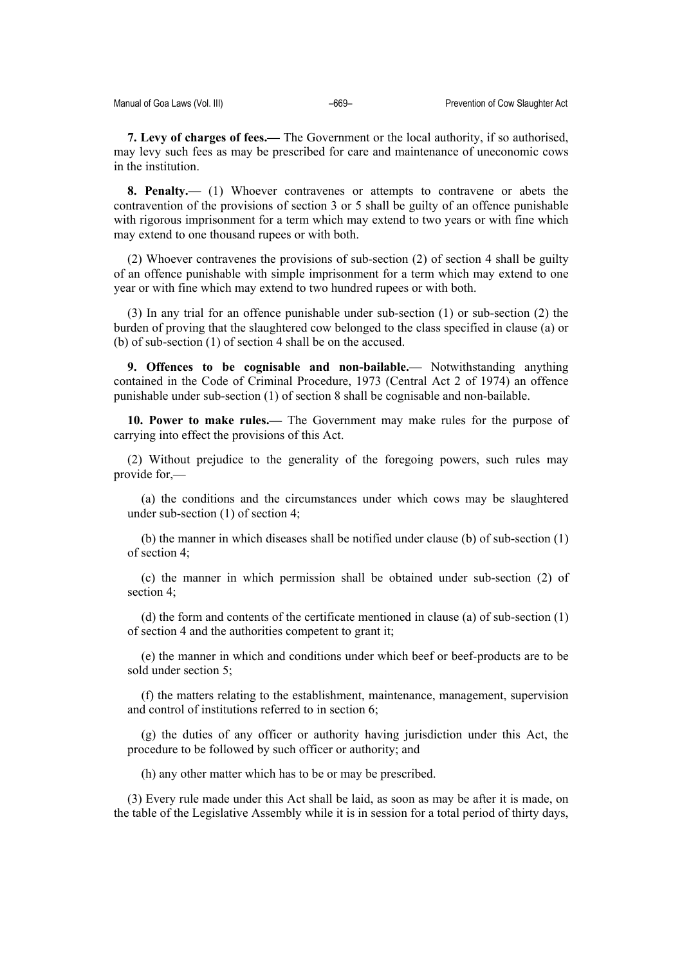**7. Levy of charges of fees.—** The Government or the local authority, if so authorised, may levy such fees as may be prescribed for care and maintenance of uneconomic cows in the institution.

**8. Penalty.—** (1) Whoever contravenes or attempts to contravene or abets the contravention of the provisions of section 3 or 5 shall be guilty of an offence punishable with rigorous imprisonment for a term which may extend to two years or with fine which may extend to one thousand rupees or with both.

(2) Whoever contravenes the provisions of sub-section (2) of section 4 shall be guilty of an offence punishable with simple imprisonment for a term which may extend to one year or with fine which may extend to two hundred rupees or with both.

(3) In any trial for an offence punishable under sub-section (1) or sub-section (2) the burden of proving that the slaughtered cow belonged to the class specified in clause (a) or (b) of sub-section (1) of section 4 shall be on the accused.

**9. Offences to be cognisable and non-bailable.—** Notwithstanding anything contained in the Code of Criminal Procedure, 1973 (Central Act 2 of 1974) an offence punishable under sub-section (1) of section 8 shall be cognisable and non-bailable.

**10. Power to make rules.—** The Government may make rules for the purpose of carrying into effect the provisions of this Act.

(2) Without prejudice to the generality of the foregoing powers, such rules may provide for,—

(a) the conditions and the circumstances under which cows may be slaughtered under sub-section (1) of section 4;

(b) the manner in which diseases shall be notified under clause (b) of sub-section (1) of section 4;

(c) the manner in which permission shall be obtained under sub-section (2) of section 4;

(d) the form and contents of the certificate mentioned in clause (a) of sub-section (1) of section 4 and the authorities competent to grant it;

(e) the manner in which and conditions under which beef or beef-products are to be sold under section 5;

(f) the matters relating to the establishment, maintenance, management, supervision and control of institutions referred to in section 6;

(g) the duties of any officer or authority having jurisdiction under this Act, the procedure to be followed by such officer or authority; and

(h) any other matter which has to be or may be prescribed.

(3) Every rule made under this Act shall be laid, as soon as may be after it is made, on the table of the Legislative Assembly while it is in session for a total period of thirty days,